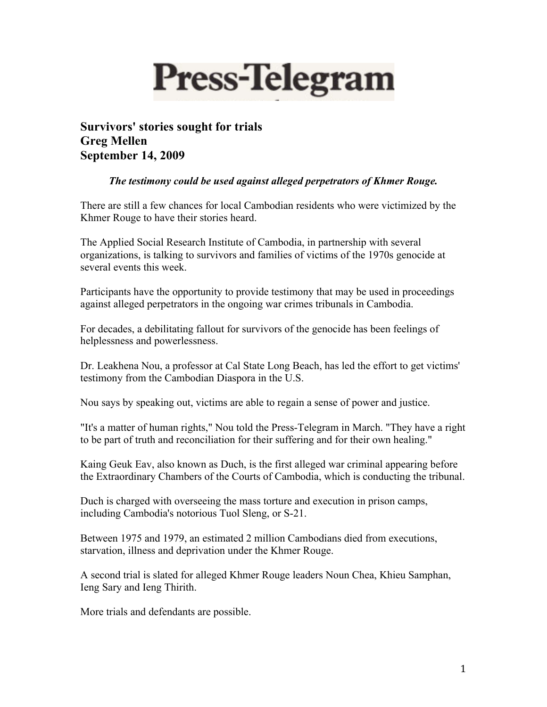

**Survivors' stories sought for trials Greg Mellen September 14, 2009**

## *The testimony could be used against alleged perpetrators of Khmer Rouge.*

There are still a few chances for local Cambodian residents who were victimized by the Khmer Rouge to have their stories heard.

The Applied Social Research Institute of Cambodia, in partnership with several organizations, is talking to survivors and families of victims of the 1970s genocide at several events this week.

Participants have the opportunity to provide testimony that may be used in proceedings against alleged perpetrators in the ongoing war crimes tribunals in Cambodia.

For decades, a debilitating fallout for survivors of the genocide has been feelings of helplessness and powerlessness.

Dr. Leakhena Nou, a professor at Cal State Long Beach, has led the effort to get victims' testimony from the Cambodian Diaspora in the U.S.

Nou says by speaking out, victims are able to regain a sense of power and justice.

"It's a matter of human rights," Nou told the Press-Telegram in March. "They have a right to be part of truth and reconciliation for their suffering and for their own healing."

Kaing Geuk Eav, also known as Duch, is the first alleged war criminal appearing before the Extraordinary Chambers of the Courts of Cambodia, which is conducting the tribunal.

Duch is charged with overseeing the mass torture and execution in prison camps, including Cambodia's notorious Tuol Sleng, or S-21.

Between 1975 and 1979, an estimated 2 million Cambodians died from executions, starvation, illness and deprivation under the Khmer Rouge.

A second trial is slated for alleged Khmer Rouge leaders Noun Chea, Khieu Samphan, Ieng Sary and Ieng Thirith.

More trials and defendants are possible.